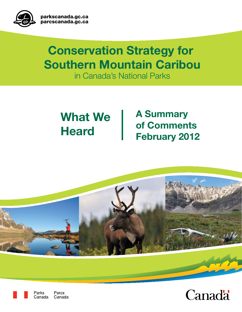

# **Conservation Strategy for Southern Mountain Caribou**

in Canada's National Parks

**What We A Summary of Comments Heard February 2012** 





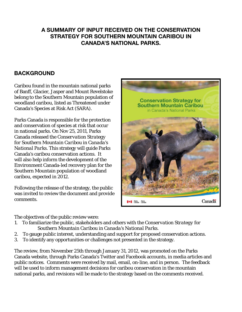# **A SUMMARY OF INPUT RECEIVED ON THE CONSERVATION STRATEGY FOR SOUTHERN MOUNTAIN CARIBOU IN CANADA'S NATIONAL PARKS.**

# **BACKGROUND**

Caribou found in the mountain national parks of Banff, Glacier, Jasper and Mount Revelstoke belong to the Southern Mountain population of woodland caribou, listed as Threatened under Canada's Species at Risk Act (SARA).

Parks Canada is responsible for the protection and conservation of species at risk that occur in national parks. On Nov 25, 2011, Parks Canada released the *Conservation Strategy for Southern Mountain Caribou in Canada's National Parks*. This strategy will guide Parks Canada's caribou conservation actions. It will also help inform the development of the Environment Canada-led recovery plan for the Southern Mountain population of woodland caribou, expected in 2012.

Following the release of the strategy, the public was invited to review the document and provide comments.



The objectives of the public review were:

- 1. To familiarize the public, stakeholders and others with the *Conservation Strategy for Southern Mountain Caribou in Canada's National Parks*.
- 2. To gauge public interest, understanding and support for proposed conservation actions.
- 3. To identify any opportunities or challenges not presented in the strategy.

The review, from November 25th through January 31, 2012, was promoted on the Parks Canada website, through Parks Canada's Twitter and Facebook accounts, in media articles and public notices. Comments were received by mail, email, on-line, and in person. The feedback will be used to inform management decisions for caribou conservation in the mountain national parks, and revisions will be made to the strategy based on the comments received.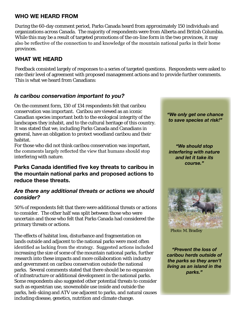# **WHO WE HEARD FROM**

During the 60-day comment period, Parks Canada heard from approximately 150 individuals and organizations across Canada. The majority of respondents were from Alberta and British Columbia. While this may be a result of targeted promotions of the on-line form in the two provinces, it may also be reflective of the connection to and knowledge of the mountain national parks in their home provinces.

# **WHAT WE HEARD**

Feedback consisted largely of responses to a series of targeted questions. Respondents were asked to rate their level of agreement with proposed management actions and to provide further comments. This is what we heard from Canadians:

# *Is caribou conservation important to you?*

On the comment form, 130 of 134 respondents felt that caribou conservation was important. Caribou are viewed as an iconic<br>Canadian species important both to the ecological integrity of the<br>landscapes they inhabit, and to the cultural heritage of this country. It was stated that we, including Parks Canada and Canadians in general, have an obligation to protect woodland caribou and their habitat.

For those who did not think caribou conservation was important, *We should stop* the comments largely reflected the view that humans should stop *interfering with nature*  interfering with nature. *and let it take its* 

# *course."* **Parks Canada identified five key threats to caribou in the mountain national parks and proposed actions to reduce these threats.**

## *Are there any additional threats or actions we should consider?*

50% of respondents felt that there were additional threats or actions to consider. The other half was split between those who were uncertain and those who felt that Parks Canada had considered the primary threats or actions.

The effects of habitat loss, disturbance and fragmentation on lands outside and adjacent to the national parks were most often identified as lacking from the strategy. Suggested actions included<br>increasing the size of some of the mountain national parks, further<br>research into these impacts and more collaboration with industry<br>and government on car Some respondents also suggested other potential threats to consider such as equestrian use, snowmobile use inside and outside the parks, heli-skiing and ATV use adjacent to parks, and natural causes including disease, genetics, nutrition and climate change.



Photo: M. Bradley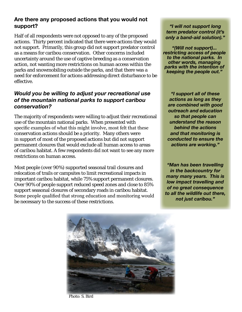# **Are there any proposed actions that you would not support?**

Half of all respondents were not opposed to any of the proposed actions. Thirty percent indicated that there were actions they would not support. Primarily, this group did not support predator control as a means for caribou conservation. Other concerns included uncertainty around the use of captive breeding as a conservation action, not wanting more restrictions on human access within the parks and snowmobiling outside the parks, and that there was a need for enforcement for actions addressing direct disturbance to be effective.

## *Would you be willing to adjust your recreational use of the mountain national parks to support caribou conservation?*

The majority of respondents were willing to adjust their recreational use of the mountain national parks. When presented with specific examples of what this might involve, most felt that these conservation actions should be a priority. Many others were in support of most of the proposed actions but did not support permanent closures that would exclude all human access to areas of caribou habitat. A few respondents did not want to see any more restrictions on human access.

Most people (over 90%) supported seasonal trail closures and relocation of trails or campsites to limit recreational impacts in important caribou habitat, while 75% support permanent closures. Over 90% of people support reduced speed zones and close to 85% support seasonal closures of secondary roads in caribou habitat. Some people qualified that strong education and monitoring would be necessary to the success of these restrictions.

*"I will not support long term predator control (it's only a band-aid solution)."*

*"(Will not support)... restricting access of people to the national parks. In other words, managing parks with the intention of keeping the people out."*

*"I support all of these actions as long as they are combined with good outreach and education so that people can understand the reason behind the actions and that monitoring is conducted to ensure the actions are working."*

*"Man has been travelling in the backcountry for many many years. This is low impact travelling and of no great consequence to all the wildlife out there, not just caribou."*



Photo: S. Bird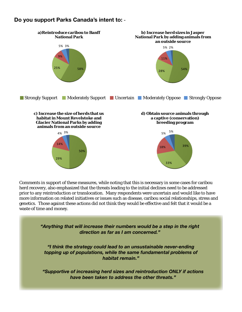## **Do you support Parks Canada's intent to:**



Comments in support of these measures, while noting that this is necessary in some cases for caribou herd recovery, also emphasized that the threats leading to the initial declines need to be addressed prior to any reintroduction or translocation. Many respondents were uncertain and would like to have more information on related initiatives or issues such as disease, caribou social relationships, stress and genetics. Those against these actions did not think they would be effective and felt that it would be a waste of time and money.

*"Anything that will increase their numbers would be a step in the right direction as far as I am concerned."* 

*"I think the strategy could lead to an unsustainable never-ending topping up of populations, while the same fundamental problems of habitat remain."* 

*"Supportive of increasing herd sizes and reintroduction ONLY if actions have been taken to address the other threats."*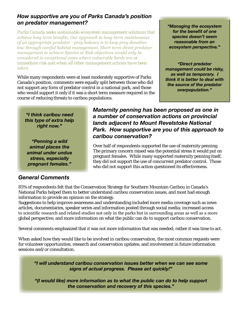# *How supportive are you of Parks Canada's position on predator management? "Managing the ecosystem*

*Parks Canada seeks sustainable ecosystem management solutions that for the benefit of one*<br>*cobieve long term benefits. Our approach to long-term maintenance species doesn't seem achieve long term benefits. Our approach to long-term maintenance species doesn't seem of an appropriate predator - prey balance is to keep prey densities low through careful habitat management. Short term direct predator ecosystem perspective." management to achieve Species at Risk objectives would only be considered in exceptional cases where vulnerable herds are at immediate risk and when all other management actions have been "Direct predator* 

While many respondents were at least moderately supportive of Parks<br>Canada's position, comments were equally split between those who did<br>not support any form of predator control in a national park, and those<br>who would supp course of reducing threats to caribou populations.

*management could be risky,* 

*"I think caribou need this type of extra help right now."* 

*"Penning a wild* 

# *General Comments*

*Maternity penning has been proposed as one in a number of conservation actions on provincial lands adjacent to Mount Revelstoke National Park. How supportive are you of this approach to caribou conservation?* 

**animal places the** <sup>Over half of respondents supported the use of maternity penning.<br>**animal under undue** <sup>The primary concern raised was the potential stress it would put on **animal under undue proportion and** *animal</sup></sup>* stress, especially<br>they did not support the use of concurrent predator control. Those<br>who did not support this action questioned its effectiveness.

85% of respondents felt that the Conservation Strategy for Southern Mountain Caribou in Canada's National Parks helped them to better understand caribou conservation issues, and most had enough information to provide an opinion on the strategy.

Suggestions to help improve awareness and understanding included more media coverage such as news articles, documentaries, speaker series and information posted through social media; increased access to scientific research and related studies not only in the parks but in surrounding areas as well as a more global perspective; and more information on what the public can do to support caribou conservation.

Several comments emphasized that it was not more information that was needed; rather it was time to act.

When asked how they would like to be involved in caribou conservation, the most common requests were for volunteer opportunities, research and conservation updates, and involvement in future information sessions and/or consultation.

*"I will understand caribou conservation issues better when we can see some signs of actual progress. Please act quickly!"* 

*"(I would like) more information as to what the public can do to help support the conservation and recovery of this species."*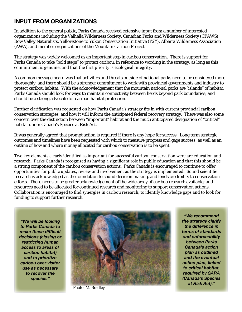# **INPUT FROM ORGANIZATIONS**

In addition to the general public, Parks Canada received extensive input from a number of interested organizations including the Valhalla Wilderness Society, Canadian Parks and Wilderness Society (CPAWS), Bow Valley Naturalists, Yellowstone to Yukon Conservation Initiative (Y2Y), Alberta Wilderness Association (AWA), and member organizations of the Mountain Caribou Project.

The strategy was widely welcomed as an important step in caribou conservation. There is support for Parks Canada to take "bold steps" to protect caribou, in reference to wording in the strategy, as long as this commitment is genuine, and that the first priority is ecological integrity.

A common message heard was that activities and threats outside of national parks need to be considered more thoroughly, and there should be a stronger commitment to work with provincial governments and industry to protect caribou habitat. With the acknowledgement that the mountain national parks are "islands" of habitat, Parks Canada should look for ways to maintain connectivity between herds beyond park boundaries; and should be a strong advocate for caribou habitat protection.

Further clarification was requested on how Parks Canada's strategy fits in with current provincial caribou conservation strategies, and how it will inform the anticipated federal recovery strategy. There was also some concern over the distinction between "important" habitat and the much anticipated designation of "critical" habitat under Canada's Species at Risk Act.

It was generally agreed that prompt action is required if there is any hope for success. Long term strategic outcomes and timelines have been requested with which to measure progress and gage success; as well as an outline of how and where money allocated for caribou conservation is to be spent.

Two key elements clearly identified as important for successful caribou conservation were are education and research. Parks Canada is recognized as having a significant role in public education and that this should be a strong component of the caribou conservation actions. Parks Canada is encouraged to continue to offer opportunities for public updates, review and involvement as the strategy is implemented. Sound scientific research is acknowledged as the foundation to sound decision making, and lends credibility to conservation efforts. There needs to be greater acknowledgement of the wide array of caribou research available; and resources need to be allocated for continued research and monitoring to support conservation actions. Collaboration is encouraged to find synergies in caribou research, to identify knowledge gaps and to look for funding to support further research.

*decisions (closing or make these difficult* 



Photo: M. Bradley

*"We recommend terms of standards and enforceability at Risk Act)."*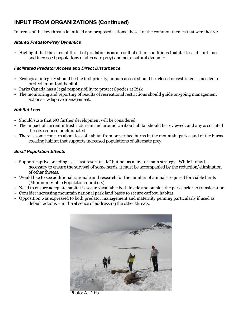# **INPUT FROM ORGANIZATIONS (Continued)**

In terms of the key threats identified and proposed actions, these are the common themes that were heard:

## *Altered Predator-Prey Dynamics*

• Highlight that the current threat of predation is as a result of other conditions (habitat loss, disturbance and increased populations of alternate prey) and not a natural dynamic.

#### *Facilitated Predator Access and Direct Disturbance*

- Ecological integrity should be the first priority, human access should be closed or restricted as needed to protect important habitat
- Parks Canada has a legal responsibility to protect Species at Risk
- The monitoring and reporting of results of recreational restrictions should guide on-going management actions – adaptive management.

## *Habitat Loss*

- Should state that NO further development will be considered.
- The impact of current infrastructure in and around caribou habitat should be reviewed, and any associated threats reduced or eliminated.
- There is some concern about loss of habitat from prescribed burns in the mountain parks, and of the burns creating habitat that supports increased populations of alternate prey.

## *Small Population Effects*

- Support captive breeding as a "last resort tactic" but not as a first or main strategy. While it may be necessary to ensure the survival of some herds, it must be accompanied by the reduction/elimination of other threats.
- Would like to see additional rationale and research for the number of animals required for viable herds (Minimum Viable Population numbers).
- Need to ensure adequate habitat is secure/available both inside and outside the parks prior to translocation.
- Consider increasing mountain national park land bases to secure caribou habitat.
- Opposition was expressed to both predator management and maternity penning particularly if used as default actions – in the absence of addressing the other threats.



Photo: A. Dibb